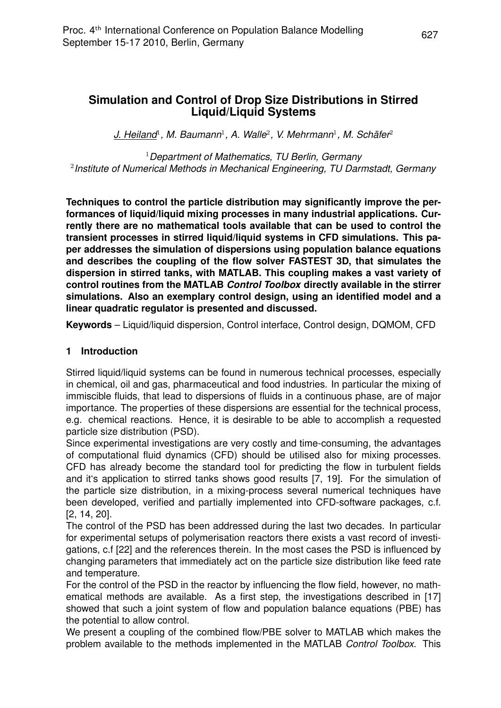$J.$  Heiland<sup>1</sup>, M. Baumann<sup>1</sup>, A. Walle<sup>2</sup>, V. Mehrmann<sup>1</sup>, M. Schäfer<sup>2</sup>

<sup>1</sup>*Department of Mathematics, TU Berlin, Germany* 2 *Institute of Numerical Methods in Mechanical Engineering, TU Darmstadt, Germany*

**Techniques to control the particle distribution may significantly improve the performances of liquid/liquid mixing processes in many industrial applications. Currently there are no mathematical tools available that can be used to control the transient processes in stirred liquid/liquid systems in CFD simulations. This paper addresses the simulation of dispersions using population balance equations and describes the coupling of the flow solver FASTEST 3D, that simulates the dispersion in stirred tanks, with MATLAB. This coupling makes a vast variety of control routines from the MATLAB** *Control Toolbox* **directly available in the stirrer simulations. Also an exemplary control design, using an identified model and a linear quadratic regulator is presented and discussed.**

**Keywords** – Liquid/liquid dispersion, Control interface, Control design, DQMOM, CFD

### **1 Introduction**

Stirred liquid/liquid systems can be found in numerous technical processes, especially in chemical, oil and gas, pharmaceutical and food industries. In particular the mixing of immiscible fluids, that lead to dispersions of fluids in a continuous phase, are of major importance. The properties of these dispersions are essential for the technical process, e.g. chemical reactions. Hence, it is desirable to be able to accomplish a requested particle size distribution (PSD).

Since experimental investigations are very costly and time-consuming, the advantages of computational fluid dynamics (CFD) should be utilised also for mixing processes. CFD has already become the standard tool for predicting the flow in turbulent fields and it's application to stirred tanks shows good results [7, 19]. For the simulation of the particle size distribution, in a mixing-process several numerical techniques have been developed, verified and partially implemented into CFD-software packages, c.f. [2, 14, 20].

The control of the PSD has been addressed during the last two decades. In particular for experimental setups of polymerisation reactors there exists a vast record of investigations, c.f [22] and the references therein. In the most cases the PSD is influenced by changing parameters that immediately act on the particle size distribution like feed rate and temperature.

For the control of the PSD in the reactor by influencing the flow field, however, no mathematical methods are available. As a first step, the investigations described in [17] showed that such a joint system of flow and population balance equations (PBE) has the potential to allow control.

We present a coupling of the combined flow/PBE solver to MATLAB which makes the problem available to the methods implemented in the MATLAB *Control Toolbox*. This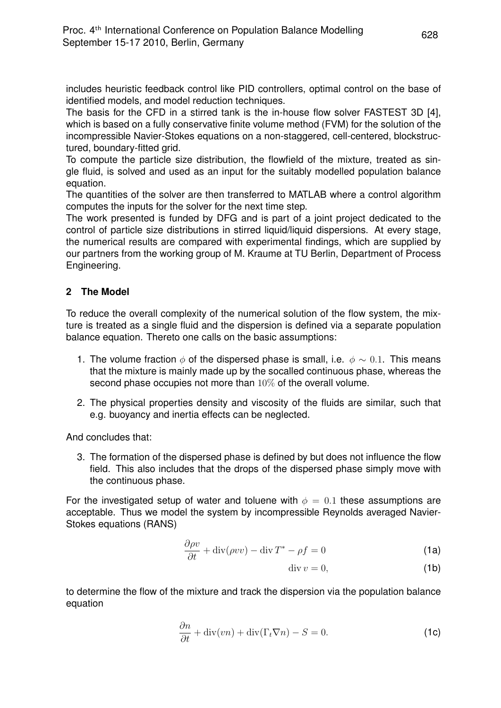includes heuristic feedback control like PID controllers, optimal control on the base of identified models, and model reduction techniques.

The basis for the CFD in a stirred tank is the in-house flow solver FASTEST 3D [4], which is based on a fully conservative finite volume method (FVM) for the solution of the incompressible Navier-Stokes equations on a non-staggered, cell-centered, blockstructured, boundary-fitted grid.

To compute the particle size distribution, the flowfield of the mixture, treated as single fluid, is solved and used as an input for the suitably modelled population balance equation.

The quantities of the solver are then transferred to MATLAB where a control algorithm computes the inputs for the solver for the next time step.

The work presented is funded by DFG and is part of a joint project dedicated to the control of particle size distributions in stirred liquid/liquid dispersions. At every stage, the numerical results are compared with experimental findings, which are supplied by our partners from the working group of M. Kraume at TU Berlin, Department of Process Engineering.

# **2 The Model**

To reduce the overall complexity of the numerical solution of the flow system, the mixture is treated as a single fluid and the dispersion is defined via a separate population balance equation. Thereto one calls on the basic assumptions:

- 1. The volume fraction  $\phi$  of the dispersed phase is small, i.e.  $\phi \sim 0.1$ . This means that the mixture is mainly made up by the socalled continuous phase, whereas the second phase occupies not more than 10% of the overall volume.
- 2. The physical properties density and viscosity of the fluids are similar, such that e.g. buoyancy and inertia effects can be neglected.

And concludes that:

3. The formation of the dispersed phase is defined by but does not influence the flow field. This also includes that the drops of the dispersed phase simply move with the continuous phase.

For the investigated setup of water and toluene with  $\phi = 0.1$  these assumptions are acceptable. Thus we model the system by incompressible Reynolds averaged Navier-Stokes equations (RANS)

$$
\frac{\partial \rho v}{\partial t} + \text{div}(\rho v v) - \text{div} T^* - \rho f = 0 \tag{1a}
$$

$$
\operatorname{div} v = 0,\tag{1b}
$$

to determine the flow of the mixture and track the dispersion via the population balance equation

$$
\frac{\partial n}{\partial t} + \text{div}(vn) + \text{div}(\Gamma_t \nabla n) - S = 0.
$$
 (1c)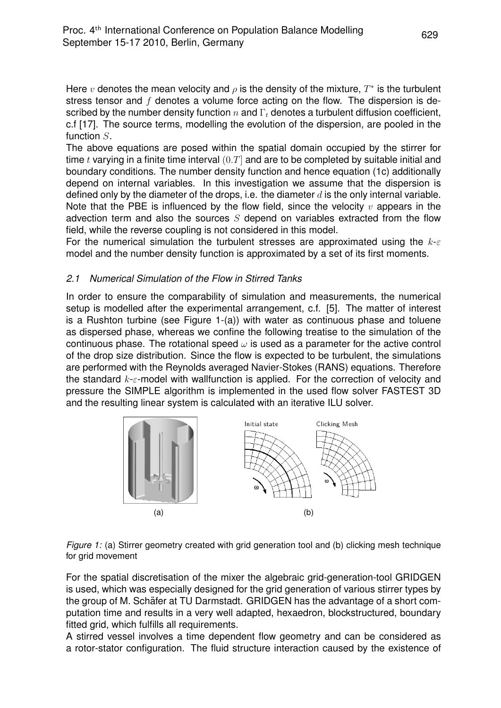Here  $v$  denotes the mean velocity and  $\rho$  is the density of the mixture,  $T^*$  is the turbulent stress tensor and  $f$  denotes a volume force acting on the flow. The dispersion is described by the number density function  $n$  and  $\Gamma_t$  denotes a turbulent diffusion coefficient, c.f [17]. The source terms, modelling the evolution of the dispersion, are pooled in the function S.

The above equations are posed within the spatial domain occupied by the stirrer for time t varying in a finite time interval  $(0,T]$  and are to be completed by suitable initial and boundary conditions. The number density function and hence equation (1c) additionally depend on internal variables. In this investigation we assume that the dispersion is defined only by the diameter of the drops, i.e. the diameter  $d$  is the only internal variable. Note that the PBE is influenced by the flow field, since the velocity  $v$  appears in the advection term and also the sources  $S$  depend on variables extracted from the flow field, while the reverse coupling is not considered in this model.

For the numerical simulation the turbulent stresses are approximated using the  $k-\varepsilon$ model and the number density function is approximated by a set of its first moments.

## *2.1 Numerical Simulation of the Flow in Stirred Tanks*

In order to ensure the comparability of simulation and measurements, the numerical setup is modelled after the experimental arrangement, c.f. [5]. The matter of interest is a Rushton turbine (see Figure 1-(a)) with water as continuous phase and toluene as dispersed phase, whereas we confine the following treatise to the simulation of the continuous phase. The rotational speed  $\omega$  is used as a parameter for the active control of the drop size distribution. Since the flow is expected to be turbulent, the simulations are performed with the Reynolds averaged Navier-Stokes (RANS) equations. Therefore the standard  $k-\epsilon$ -model with wallfunction is applied. For the correction of velocity and pressure the SIMPLE algorithm is implemented in the used flow solver FASTEST 3D and the resulting linear system is calculated with an iterative ILU solver.



*Figure 1:* (a) Stirrer geometry created with grid generation tool and (b) clicking mesh technique for grid movement

For the spatial discretisation of the mixer the algebraic grid-generation-tool GRIDGEN is used, which was especially designed for the grid generation of various stirrer types by the group of M. Schäfer at TU Darmstadt. GRIDGEN has the advantage of a short computation time and results in a very well adapted, hexaedron, blockstructured, boundary fitted grid, which fulfills all requirements.

A stirred vessel involves a time dependent flow geometry and can be considered as a rotor-stator configuration. The fluid structure interaction caused by the existence of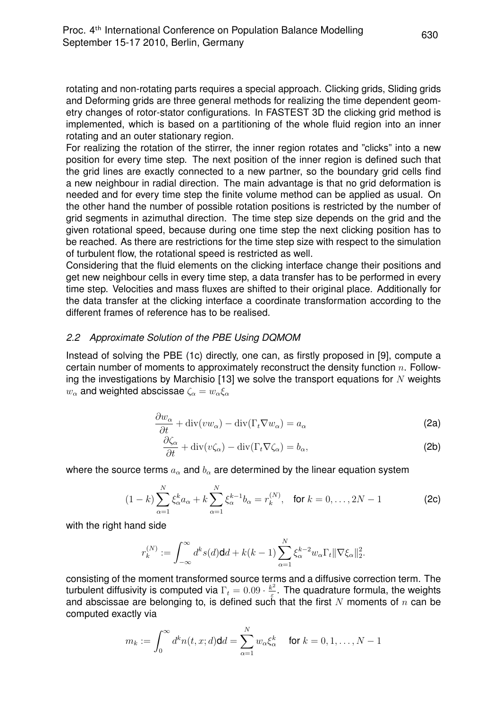rotating and non-rotating parts requires a special approach. Clicking grids, Sliding grids and Deforming grids are three general methods for realizing the time dependent geometry changes of rotor-stator configurations. In FASTEST 3D the clicking grid method is implemented, which is based on a partitioning of the whole fluid region into an inner rotating and an outer stationary region.

For realizing the rotation of the stirrer, the inner region rotates and "clicks" into a new position for every time step. The next position of the inner region is defined such that the grid lines are exactly connected to a new partner, so the boundary grid cells find a new neighbour in radial direction. The main advantage is that no grid deformation is needed and for every time step the finite volume method can be applied as usual. On the other hand the number of possible rotation positions is restricted by the number of grid segments in azimuthal direction. The time step size depends on the grid and the given rotational speed, because during one time step the next clicking position has to be reached. As there are restrictions for the time step size with respect to the simulation of turbulent flow, the rotational speed is restricted as well.

Considering that the fluid elements on the clicking interface change their positions and get new neighbour cells in every time step, a data transfer has to be performed in every time step. Velocities and mass fluxes are shifted to their original place. Additionally for the data transfer at the clicking interface a coordinate transformation according to the different frames of reference has to be realised.

### *2.2 Approximate Solution of the PBE Using DQMOM*

Instead of solving the PBE (1c) directly, one can, as firstly proposed in [9], compute a certain number of moments to approximately reconstruct the density function  $n$ . Following the investigations by Marchisio [13] we solve the transport equations for  $N$  weights  $w_\alpha$  and weighted abscissae  $\zeta_\alpha = w_\alpha \xi_\alpha$ 

$$
\frac{\partial w_{\alpha}}{\partial t} + \text{div}(vw_{\alpha}) - \text{div}(\Gamma_t \nabla w_{\alpha}) = a_{\alpha}
$$
\n(2a)

$$
\frac{\partial \zeta_{\alpha}}{\partial t} + \text{div}(v\zeta_{\alpha}) - \text{div}(\Gamma_t \nabla \zeta_{\alpha}) = b_{\alpha},\tag{2b}
$$

where the source terms  $a_{\alpha}$  and  $b_{\alpha}$  are determined by the linear equation system

$$
(1-k)\sum_{\alpha=1}^{N}\xi_{\alpha}^{k}a_{\alpha}+k\sum_{\alpha=1}^{N}\xi_{\alpha}^{k-1}b_{\alpha}=r_{k}^{(N)}, \text{ for } k=0,\ldots,2N-1
$$
 (2c)

with the right hand side

$$
r_k^{(N)} := \int_{-\infty}^{\infty} d^k s(d) \mathbf{d} \, d\mathbf{d} + k(k-1) \sum_{\alpha=1}^N \xi_{\alpha}^{k-2} w_{\alpha} \Gamma_t \|\nabla \xi_{\alpha}\|_2^2.
$$

consisting of the moment transformed source terms and a diffusive correction term. The turbulent diffusivity is computed via  $\Gamma_t=0.09\cdot\frac{k^2}{\varepsilon}$  $\frac{\varepsilon^2}{\varepsilon}$ . The quadrature formula, the weights and abscissae are belonging to, is defined such that the first N moments of  $n$  can be computed exactly via

$$
m_k := \int_0^\infty d^k n(t, x; d) \mathbf{d} d = \sum_{\alpha=1}^N w_\alpha \xi_\alpha^k \quad \text{ for } k = 0, 1, \dots, N-1
$$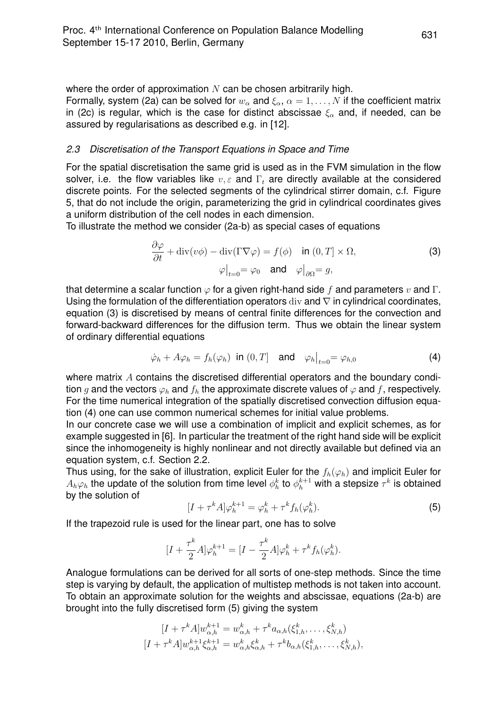where the order of approximation  $N$  can be chosen arbitrarily high.

Formally, system (2a) can be solved for  $w_{\alpha}$  and  $\xi_{\alpha}$ ,  $\alpha = 1, ..., N$  if the coefficient matrix in (2c) is regular, which is the case for distinct abscissae  $\xi_{\alpha}$  and, if needed, can be assured by regularisations as described e.g. in [12].

### *2.3 Discretisation of the Transport Equations in Space and Time*

For the spatial discretisation the same grid is used as in the FVM simulation in the flow solver, i.e. the flow variables like  $v, \varepsilon$  and  $\Gamma_t$  are directly available at the considered discrete points. For the selected segments of the cylindrical stirrer domain, c.f. Figure 5, that do not include the origin, parameterizing the grid in cylindrical coordinates gives a uniform distribution of the cell nodes in each dimension.

To illustrate the method we consider (2a-b) as special cases of equations

$$
\frac{\partial \varphi}{\partial t} + \text{div}(v\phi) - \text{div}(\Gamma \nabla \varphi) = f(\phi) \quad \text{in } (0, T] \times \Omega,
$$
  

$$
\varphi\big|_{t=0} = \varphi_0 \quad \text{and} \quad \varphi\big|_{\partial\Omega} = g,
$$
 (3)

that determine a scalar function  $\varphi$  for a given right-hand side f and parameters v and Γ. Using the formulation of the differentiation operators div and  $\nabla$  in cylindrical coordinates, equation (3) is discretised by means of central finite differences for the convection and forward-backward differences for the diffusion term. Thus we obtain the linear system of ordinary differential equations

$$
\dot{\varphi}_h + A\varphi_h = f_h(\varphi_h) \text{ in } (0, T] \quad \text{and} \quad \varphi_h \big|_{t=0} = \varphi_{h,0} \tag{4}
$$

where matrix A contains the discretised differential operators and the boundary condition g and the vectors  $\varphi_h$  and  $f_h$  the approximate discrete values of  $\varphi$  and f, respectively. For the time numerical integration of the spatially discretised convection diffusion equation (4) one can use common numerical schemes for initial value problems.

In our concrete case we will use a combination of implicit and explicit schemes, as for example suggested in [6]. In particular the treatment of the right hand side will be explicit since the inhomogeneity is highly nonlinear and not directly available but defined via an equation system, c.f. Section 2.2.

Thus using, for the sake of illustration, explicit Euler for the  $f_h(\varphi_h)$  and implicit Euler for  $A_h\varphi_h$  the update of the solution from time level  $\phi_h^k$  to  $\phi_h^{k+1}$  with a stepsize  $\tau^k$  is obtained by the solution of

$$
[I + \tau^k A] \varphi_h^{k+1} = \varphi_h^k + \tau^k f_h(\varphi_h^k). \tag{5}
$$

If the trapezoid rule is used for the linear part, one has to solve

$$
[I+\frac{\tau^k}{2}A]\varphi^{k+1}_h=[I-\frac{\tau^k}{2}A]\varphi^k_h+\tau^k f_h(\varphi^k_h).
$$

Analogue formulations can be derived for all sorts of one-step methods. Since the time step is varying by default, the application of multistep methods is not taken into account. To obtain an approximate solution for the weights and abscissae, equations (2a-b) are brought into the fully discretised form (5) giving the system

$$
[I + \tau^k A] w_{\alpha,h}^{k+1} = w_{\alpha,h}^k + \tau^k a_{\alpha,h} (\xi_{1,h}^k, \dots, \xi_{N,h}^k)
$$
  

$$
[I + \tau^k A] w_{\alpha,h}^{k+1} \xi_{\alpha,h}^{k+1} = w_{\alpha,h}^k \xi_{\alpha,h}^k + \tau^k b_{\alpha,h} (\xi_{1,h}^k, \dots, \xi_{N,h}^k),
$$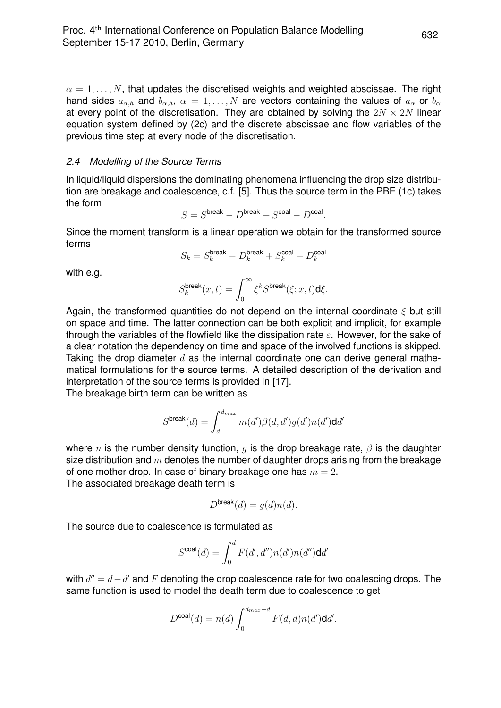$\alpha = 1, \ldots, N$ , that updates the discretised weights and weighted abscissae. The right hand sides  $a_{\alpha,h}$  and  $b_{\alpha,h}$ ,  $\alpha = 1, ..., N$  are vectors containing the values of  $a_{\alpha}$  or  $b_{\alpha}$ at every point of the discretisation. They are obtained by solving the  $2N \times 2N$  linear equation system defined by (2c) and the discrete abscissae and flow variables of the previous time step at every node of the discretisation.

#### *2.4 Modelling of the Source Terms*

In liquid/liquid dispersions the dominating phenomena influencing the drop size distribution are breakage and coalescence, c.f. [5]. Thus the source term in the PBE (1c) takes the form

$$
S = S^{\text{break}} - D^{\text{break}} + S^{\text{coal}} - D^{\text{coal}}.
$$

Since the moment transform is a linear operation we obtain for the transformed source terms .<br>al

$$
S_k = S_k^{\text{break}} - D_k^{\text{break}} + S_k^{\text{coal}} - D_k^{\text{coas}}
$$

with e.g.

$$
S_k^{\text{break}}(x,t) = \int_0^\infty \xi^k S^{\text{break}}(\xi;x,t) \mathrm{d}\xi.
$$

Again, the transformed quantities do not depend on the internal coordinate  $\xi$  but still on space and time. The latter connection can be both explicit and implicit, for example through the variables of the flowfield like the dissipation rate  $\varepsilon$ . However, for the sake of a clear notation the dependency on time and space of the involved functions is skipped. Taking the drop diameter  $d$  as the internal coordinate one can derive general mathematical formulations for the source terms. A detailed description of the derivation and interpretation of the source terms is provided in [17].

The breakage birth term can be written as

$$
S^{\text{break}}(d)=\int_{d}^{d_{max}} m(d')\beta(d,d')g(d')n(d')\text{d}d'
$$

where n is the number density function, q is the drop breakage rate,  $\beta$  is the daughter size distribution and  $m$  denotes the number of daughter drops arising from the breakage of one mother drop. In case of binary breakage one has  $m = 2$ . The associated breakage death term is

$$
D^{\text{break}}(d) = g(d)n(d).
$$

The source due to coalescence is formulated as

$$
S^{\text{coal}}(d)=\int_0^d F(d',d'')n(d')n(d'')\text{d}d'
$$

with  $d''=d-d'$  and  $F$  denoting the drop coalescence rate for two coalescing drops. The same function is used to model the death term due to coalescence to get

$$
D^{\text{coal}}(d) = n(d) \int_0^{d_{max}-d} F(d,d)n(d') \mathbf{d} d'.
$$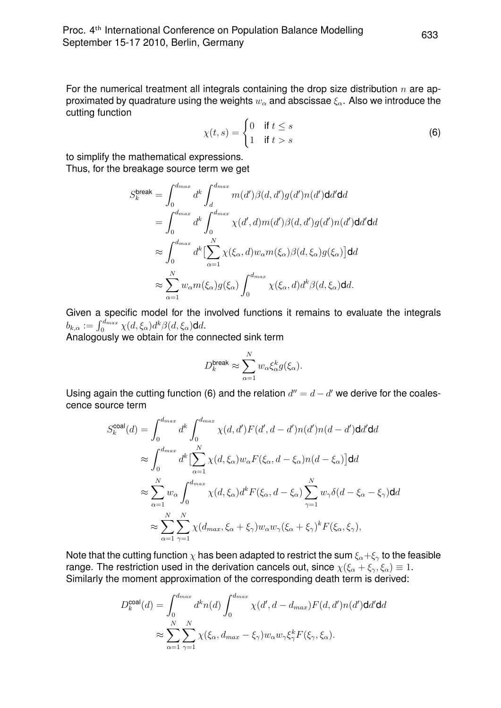For the numerical treatment all integrals containing the drop size distribution  $n$  are approximated by quadrature using the weights  $w_\alpha$  and abscissae  $\xi_\alpha$ . Also we introduce the cutting function

$$
\chi(t,s) = \begin{cases} 0 & \text{if } t \le s \\ 1 & \text{if } t > s \end{cases} \tag{6}
$$

to simplify the mathematical expressions. Thus, for the breakage source term we get

$$
S_k^{\text{break}} = \int_0^{d_{max}} d^k \int_d^{d_{max}} m(d') \beta(d, d') g(d') n(d') \text{d}d' \text{d}d
$$
  
= 
$$
\int_0^{d_{max}} d^k \int_0^{d_{max}} \chi(d', d) m(d') \beta(d, d') g(d') n(d') \text{d}d' \text{d}d
$$
  

$$
\approx \int_0^{d_{max}} d^k \left[ \sum_{\alpha=1}^N \chi(\xi_\alpha, d) w_\alpha m(\xi_\alpha) \beta(d, \xi_\alpha) g(\xi_\alpha) \right] \text{d}d
$$
  

$$
\approx \sum_{\alpha=1}^N w_\alpha m(\xi_\alpha) g(\xi_\alpha) \int_0^{d_{max}} \chi(\xi_\alpha, d) d^k \beta(d, \xi_\alpha) \text{d}d.
$$

Given a specific model for the involved functions it remains to evaluate the integrals  $b_{k,\alpha} := \int_0^{d_{max}} \chi(d,\xi_\alpha) d^k \beta(d,\xi_\alpha)$ dd.

Analogously we obtain for the connected sink term

$$
D_k^{\text{break}} \approx \sum_{\alpha=1}^N w_\alpha \xi_\alpha^k g(\xi_\alpha).
$$

Using again the cutting function (6) and the relation  $d'' = d - d'$  we derive for the coalescence source term

$$
S_k^{\text{coal}}(d) = \int_0^{d_{max}} d^k \int_0^{d_{max}} \chi(d, d') F(d', d - d') n(d') n(d - d') \mathbf{d} d d d
$$
  
\n
$$
\approx \int_0^{d_{max}} d^k \left[ \sum_{\alpha=1}^N \chi(d, \xi_\alpha) w_\alpha F(\xi_\alpha, d - \xi_\alpha) n(d - \xi_\alpha) \right] \mathbf{d} d
$$
  
\n
$$
\approx \sum_{\alpha=1}^N w_\alpha \int_0^{d_{max}} \chi(d, \xi_\alpha) d^k F(\xi_\alpha, d - \xi_\alpha) \sum_{\gamma=1}^N w_\gamma \delta(d - \xi_\alpha - \xi_\gamma) \mathbf{d} d
$$
  
\n
$$
\approx \sum_{\alpha=1}^N \sum_{\gamma=1}^N \chi(d_{max}, \xi_\alpha + \xi_\gamma) w_\alpha w_\gamma (\xi_\alpha + \xi_\gamma)^k F(\xi_\alpha, \xi_\gamma),
$$

Note that the cutting function  $\chi$  has been adapted to restrict the sum  $\xi_{\alpha}+\xi_{\gamma}$  to the feasible range. The restriction used in the derivation cancels out, since  $\chi(\xi_{\alpha} + \xi_{\gamma}, \xi_{\alpha}) \equiv 1$ . Similarly the moment approximation of the corresponding death term is derived:

$$
D_k^{\text{coal}}(d) = \int_0^{d_{max}} d^k n(d) \int_0^{d_{max}} \chi(d', d - d_{max}) F(d, d') n(d') \mathbf{d} d' \mathbf{d} d
$$

$$
\approx \sum_{\alpha=1}^N \sum_{\gamma=1}^N \chi(\xi_\alpha, d_{max} - \xi_\gamma) w_\alpha w_\gamma \xi_\gamma^k F(\xi_\gamma, \xi_\alpha).
$$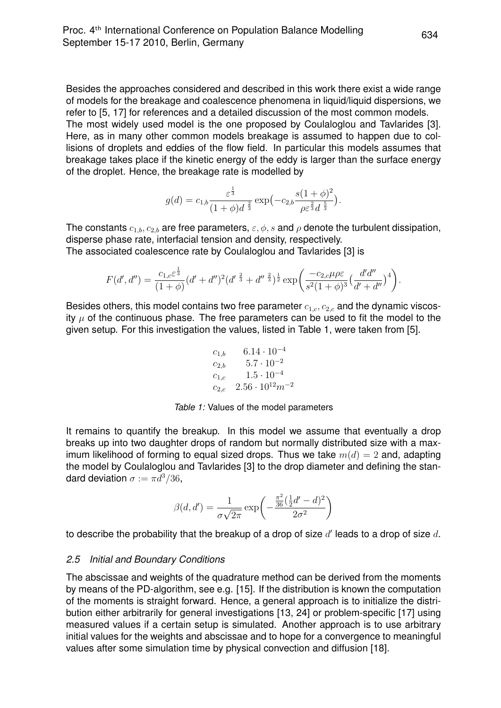Besides the approaches considered and described in this work there exist a wide range of models for the breakage and coalescence phenomena in liquid/liquid dispersions, we refer to [5, 17] for references and a detailed discussion of the most common models. The most widely used model is the one proposed by Coulaloglou and Tavlarides [3]. Here, as in many other common models breakage is assumed to happen due to collisions of droplets and eddies of the flow field. In particular this models assumes that breakage takes place if the kinetic energy of the eddy is larger than the surface energy of the droplet. Hence, the breakage rate is modelled by

$$
g(d) = c_{1,b} \frac{\varepsilon^{\frac{1}{3}}}{(1+\phi)d^{\frac{2}{3}}} \exp(-c_{2,b} \frac{s(1+\phi)^2}{\rho \varepsilon^{\frac{2}{3}} d^{\frac{5}{3}}}).
$$

The constants  $c_{1,b}, c_{2,b}$  are free parameters,  $\varepsilon, \phi, s$  and  $\rho$  denote the turbulent dissipation, disperse phase rate, interfacial tension and density, respectively. The associated coalescence rate by Coulaloglou and Tavlarides [3] is

$$
F(d',d'') = \frac{c_{1,c}\varepsilon^{\frac{1}{3}}}{(1+\phi)}(d'+d'')^2(d'^{\frac{2}{3}}+d''^{\frac{2}{3}})^{\frac{1}{2}}\exp\left(\frac{-c_{2,c}\mu\rho\varepsilon}{s^2(1+\phi)^3}\left(\frac{d'd''}{d'+d''}\right)^4\right)
$$

Besides others, this model contains two free parameter  $c_{1,c}$ ,  $c_{2,c}$  and the dynamic viscosity  $\mu$  of the continuous phase. The free parameters can be used to fit the model to the given setup. For this investigation the values, listed in Table 1, were taken from [5].

$$
c_{1,b} = 6.14 \cdot 10^{-4}
$$
  
\n
$$
c_{2,b} = 5.7 \cdot 10^{-2}
$$
  
\n
$$
c_{1,c} = 1.5 \cdot 10^{-4}
$$
  
\n
$$
c_{2,c} = 2.56 \cdot 10^{12} m^{-2}
$$

*Table 1:* Values of the model parameters

It remains to quantify the breakup. In this model we assume that eventually a drop breaks up into two daughter drops of random but normally distributed size with a maximum likelihood of forming to equal sized drops. Thus we take  $m(d) = 2$  and, adapting the model by Coulaloglou and Tavlarides [3] to the drop diameter and defining the standard deviation  $\sigma := \pi d^3/36$ ,

$$
\beta(d, d') = \frac{1}{\sigma\sqrt{2\pi}} \exp\left(-\frac{\frac{\pi^2}{36}(\frac{1}{2}d'-d)^2}{2\sigma^2}\right)
$$

to describe the probability that the breakup of a drop of size  $d'$  leads to a drop of size  $d.$ 

### *2.5 Initial and Boundary Conditions*

The abscissae and weights of the quadrature method can be derived from the moments by means of the PD-algorithm, see e.g. [15]. If the distribution is known the computation of the moments is straight forward. Hence, a general approach is to initialize the distribution either arbitrarily for general investigations [13, 24] or problem-specific [17] using measured values if a certain setup is simulated. Another approach is to use arbitrary initial values for the weights and abscissae and to hope for a convergence to meaningful values after some simulation time by physical convection and diffusion [18].

.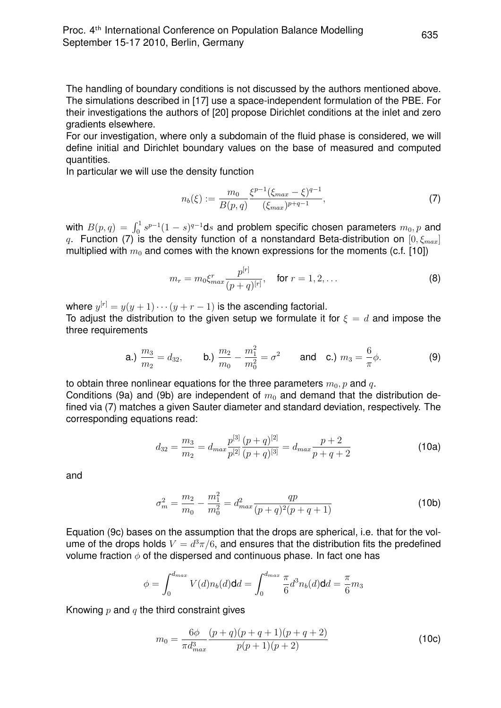The handling of boundary conditions is not discussed by the authors mentioned above. The simulations described in [17] use a space-independent formulation of the PBE. For their investigations the authors of [20] propose Dirichlet conditions at the inlet and zero gradients elsewhere.

For our investigation, where only a subdomain of the fluid phase is considered, we will define initial and Dirichlet boundary values on the base of measured and computed quantities.

In particular we will use the density function

$$
n_b(\xi) := \frac{m_0}{B(p,q)} \frac{\xi^{p-1} (\xi_{max} - \xi)^{q-1}}{(\xi_{max})^{p+q-1}},
$$
\n(7)

with  $B(p,q) = \int_0^1 s^{p-1}(1-s)^{q-1}ds$  and problem specific chosen parameters  $m_0, p$  and q. Function (7) is the density function of a nonstandard Beta-distribution on  $[0, \xi_{max}]$ multiplied with  $m_0$  and comes with the known expressions for the moments (c.f. [10])

$$
m_r = m_0 \xi_{max}^r \frac{p^{[r]}}{(p+q)^{[r]}}, \quad \text{for } r = 1, 2, ... \tag{8}
$$

where  $y^{[r]} = y(y+1)\cdots(y+r-1)$  is the ascending factorial. To adjust the distribution to the given setup we formulate it for  $\xi = d$  and impose the three requirements

**a.**) 
$$
\frac{m_3}{m_2} = d_{32}
$$
, **b.**)  $\frac{m_2}{m_0} - \frac{m_1^2}{m_0^2} = \sigma^2$  and **c.**)  $m_3 = \frac{6}{\pi}\phi$ . (9)

to obtain three nonlinear equations for the three parameters  $m_0$ , p and q. Conditions (9a) and (9b) are independent of  $m_0$  and demand that the distribution defined via (7) matches a given Sauter diameter and standard deviation, respectively. The corresponding equations read:

$$
d_{32} = \frac{m_3}{m_2} = d_{max} \frac{p^{[3]}}{p^{[2]}} \frac{(p+q)^{[2]}}{(p+q)^{[3]}} = d_{max} \frac{p+2}{p+q+2}
$$
(10a)

and

$$
\sigma_m^2 = \frac{m_2}{m_0} - \frac{m_1^2}{m_0^2} = d_{max}^2 \frac{qp}{(p+q)^2(p+q+1)}
$$
(10b)

Equation (9c) bases on the assumption that the drops are spherical, i.e. that for the volume of the drops holds  $V = d^3\pi/6$ , and ensures that the distribution fits the predefined volume fraction  $\phi$  of the dispersed and continuous phase. In fact one has

$$
\phi = \int_0^{d_{max}} V(d)n_b(d) \mathbf{d}d = \int_0^{d_{max}} \frac{\pi}{6} d^3 n_b(d) \mathbf{d}d = \frac{\pi}{6} m_3
$$

Knowing  $p$  and  $q$  the third constraint gives

$$
m_0 = \frac{6\phi}{\pi d_{max}^3} \frac{(p+q)(p+q+1)(p+q+2)}{p(p+1)(p+2)}
$$
(10c)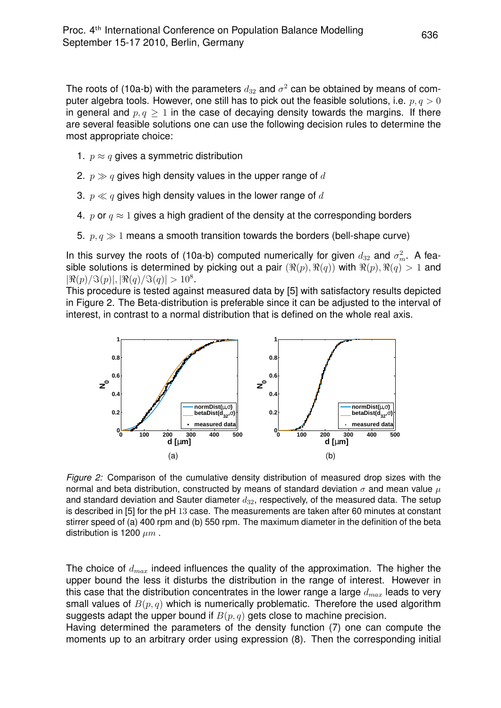The roots of (10a-b) with the parameters  $d_{32}$  and  $\sigma^2$  can be obtained by means of computer algebra tools. However, one still has to pick out the feasible solutions, i.e.  $p, q > 0$ in general and  $p, q \geq 1$  in the case of decaying density towards the margins. If there are several feasible solutions one can use the following decision rules to determine the most appropriate choice:

- 1.  $p \approx q$  gives a symmetric distribution
- 2.  $p \gg q$  gives high density values in the upper range of d
- 3.  $p \ll q$  gives high density values in the lower range of d
- 4. p or  $q \approx 1$  gives a high gradient of the density at the corresponding borders
- 5.  $p, q \gg 1$  means a smooth transition towards the borders (bell-shape curve)

In this survey the roots of (10a-b) computed numerically for given  $d_{32}$  and  $\sigma_m^2$ . A feasible solutions is determined by picking out a pair  $(\Re(p), \Re(q))$  with  $\Re(p), \Re(q) > 1$  and  $\left|\Re(p)/\Im(p)\right|, |\Re(q)/\Im(q)| > 10^8.$ 

This procedure is tested against measured data by [5] with satisfactory results depicted in Figure 2. The Beta-distribution is preferable since it can be adjusted to the interval of interest, in contrast to a normal distribution that is defined on the whole real axis.



*Figure 2:* Comparison of the cumulative density distribution of measured drop sizes with the normal and beta distribution, constructed by means of standard deviation  $\sigma$  and mean value  $\mu$ and standard deviation and Sauter diameter  $d_{32}$ , respectively, of the measured data. The setup is described in [5] for the pH 13 case. The measurements are taken after 60 minutes at constant stirrer speed of (a) 400 rpm and (b) 550 rpm. The maximum diameter in the definition of the beta distribution is 1200  $\mu m$ .

The choice of  $d_{max}$  indeed influences the quality of the approximation. The higher the upper bound the less it disturbs the distribution in the range of interest. However in this case that the distribution concentrates in the lower range a large  $d_{max}$  leads to very small values of  $B(p, q)$  which is numerically problematic. Therefore the used algorithm suggests adapt the upper bound if  $B(p, q)$  gets close to machine precision.

Having determined the parameters of the density function (7) one can compute the moments up to an arbitrary order using expression (8). Then the corresponding initial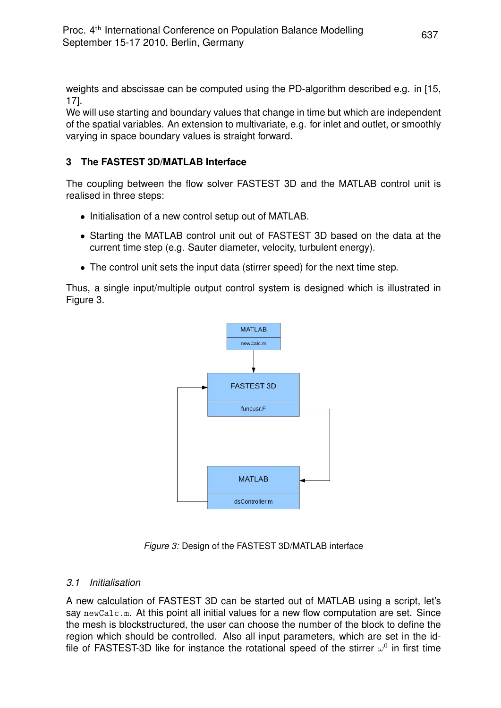weights and abscissae can be computed using the PD-algorithm described e.g. in [15, 17].

We will use starting and boundary values that change in time but which are independent of the spatial variables. An extension to multivariate, e.g. for inlet and outlet, or smoothly varying in space boundary values is straight forward.

# **3 The FASTEST 3D/MATLAB Interface**

The coupling between the flow solver FASTEST 3D and the MATLAB control unit is realised in three steps:

- Initialisation of a new control setup out of MATLAB.
- Starting the MATLAB control unit out of FASTEST 3D based on the data at the current time step (e.g. Sauter diameter, velocity, turbulent energy).
- The control unit sets the input data (stirrer speed) for the next time step.

Thus, a single input/multiple output control system is designed which is illustrated in Figure 3.



*Figure 3:* Design of the FASTEST 3D/MATLAB interface

## *3.1 Initialisation*

A new calculation of FASTEST 3D can be started out of MATLAB using a script, let's say newCalc.m. At this point all initial values for a new flow computation are set. Since the mesh is blockstructured, the user can choose the number of the block to define the region which should be controlled. Also all input parameters, which are set in the idfile of FASTEST-3D like for instance the rotational speed of the stirrer  $\omega^0$  in first time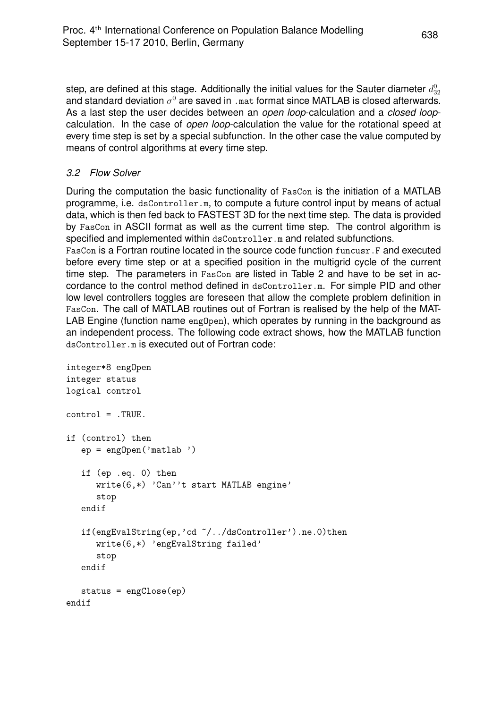step, are defined at this stage. Additionally the initial values for the Sauter diameter  $d_{32}^0$ and standard deviation  $\sigma^0$  are saved in <code>.mat</code> format since MATLAB is closed afterwards. As a last step the user decides between an *open loop*-calculation and a *closed loop*calculation. In the case of *open loop*-calculation the value for the rotational speed at every time step is set by a special subfunction. In the other case the value computed by means of control algorithms at every time step.

# *3.2 Flow Solver*

During the computation the basic functionality of FasCon is the initiation of a MATLAB programme, i.e. dsController.m, to compute a future control input by means of actual data, which is then fed back to FASTEST 3D for the next time step. The data is provided by FasCon in ASCII format as well as the current time step. The control algorithm is specified and implemented within dsController.m and related subfunctions.

FasCon is a Fortran routine located in the source code function funcusr.F and executed before every time step or at a specified position in the multigrid cycle of the current time step. The parameters in FasCon are listed in Table 2 and have to be set in accordance to the control method defined in dsController.m. For simple PID and other low level controllers toggles are foreseen that allow the complete problem definition in FasCon. The call of MATLAB routines out of Fortran is realised by the help of the MAT-LAB Engine (function name eng0pen), which operates by running in the background as an independent process. The following code extract shows, how the MATLAB function dsController.m is executed out of Fortran code:

```
integer*8 engOpen
integer status
logical control
control = .TRUE.
if (control) then
   ep = engOpen('matlab ')
   if (ep .eq. 0) then
      write(6,*) 'Can''t start MATLAB engine'
      stop
   endif
   if(engEvalString(ep,'cd ~/../dsController').ne.0)then
      write(6,*) 'engEvalString failed'
      stop
   endif
  status = engClose(ep)
endif
```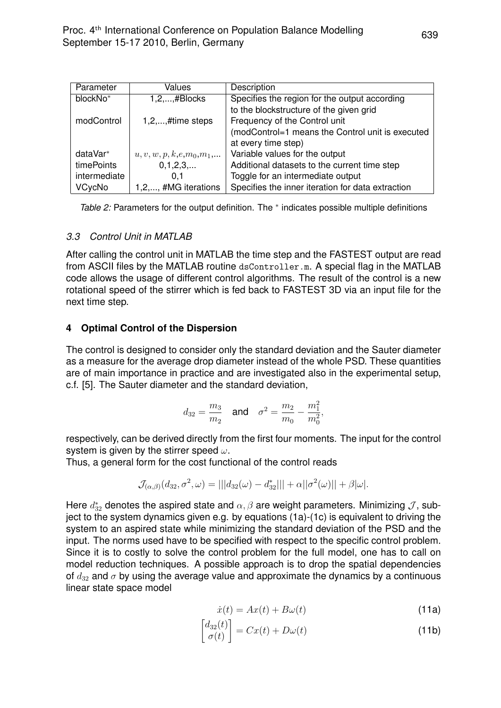| Parameter    | Values                              | Description                                       |  |
|--------------|-------------------------------------|---------------------------------------------------|--|
| blockNo*     | $1, 2, \ldots, \# \text{BlockS}$    | Specifies the region for the output according     |  |
|              |                                     | to the blockstructure of the given grid           |  |
| modControl   | $1, 2, \ldots, \#$ time steps       | Frequency of the Control unit                     |  |
|              |                                     | (modControl=1 means the Control unit is executed  |  |
|              |                                     | at every time step)                               |  |
| dataVar*     | $u, v, w, p, k, e, m_0, m_1, \dots$ | Variable values for the output                    |  |
| timePoints   | 0,1,2,3,                            | Additional datasets to the current time step      |  |
| intermediate | 0.1                                 | Toggle for an intermediate output                 |  |
| VCycNo       | 1,2,, #MG iterations                | Specifies the inner iteration for data extraction |  |

Table 2: Parameters for the output definition. The <sup>∗</sup> indicates possible multiple definitions

#### *3.3 Control Unit in MATLAB*

After calling the control unit in MATLAB the time step and the FASTEST output are read from ASCII files by the MATLAB routine dsController.m. A special flag in the MATLAB code allows the usage of different control algorithms. The result of the control is a new rotational speed of the stirrer which is fed back to FASTEST 3D via an input file for the next time step.

### **4 Optimal Control of the Dispersion**

The control is designed to consider only the standard deviation and the Sauter diameter as a measure for the average drop diameter instead of the whole PSD. These quantities are of main importance in practice and are investigated also in the experimental setup, c.f. [5]. The Sauter diameter and the standard deviation,

$$
d_{32} = \frac{m_3}{m_2}
$$
 and  $\sigma^2 = \frac{m_2}{m_0} - \frac{m_1^2}{m_0^2}$ ,

respectively, can be derived directly from the first four moments. The input for the control system is given by the stirrer speed  $\omega$ .

Thus, a general form for the cost functional of the control reads

$$
\mathcal{J}_{(\alpha,\beta)}(d_{32},\sigma^2,\omega)=|||d_{32}(\omega)-d_{32}^*|||+\alpha||\sigma^2(\omega)||+\beta|\omega|.
$$

Here  $d^*_{32}$  denotes the aspired state and  $\alpha, \beta$  are weight parameters. Minimizing  $\mathcal{J}$ , subject to the system dynamics given e.g. by equations (1a)-(1c) is equivalent to driving the system to an aspired state while minimizing the standard deviation of the PSD and the input. The norms used have to be specified with respect to the specific control problem. Since it is to costly to solve the control problem for the full model, one has to call on model reduction techniques. A possible approach is to drop the spatial dependencies of  $d_{32}$  and  $\sigma$  by using the average value and approximate the dynamics by a continuous linear state space model

$$
\dot{x}(t) = Ax(t) + B\omega(t) \tag{11a}
$$

$$
\begin{bmatrix} d_{32}(t) \\ \sigma(t) \end{bmatrix} = Cx(t) + D\omega(t)
$$
\n(11b)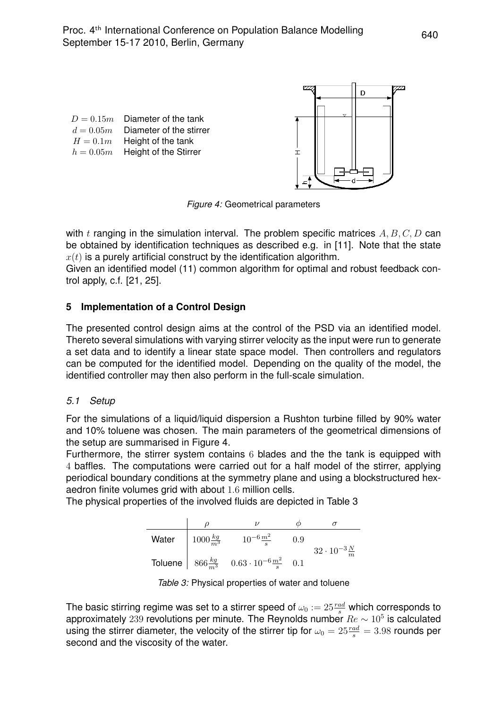D  $D = 0.15m$  Diameter of the tank  $d = 0.05m$  Diameter of the stirrer  $H = 0.1m$  Height of the tank  $h = 0.05m$  Height of the Stirrer  $\pm$ 

*Figure 4:* Geometrical parameters

with t ranging in the simulation interval. The problem specific matrices  $A, B, C, D$  can be obtained by identification techniques as described e.g. in [11]. Note that the state  $x(t)$  is a purely artificial construct by the identification algorithm.

Given an identified model (11) common algorithm for optimal and robust feedback control apply, c.f. [21, 25].

# **5 Implementation of a Control Design**

The presented control design aims at the control of the PSD via an identified model. Thereto several simulations with varying stirrer velocity as the input were run to generate a set data and to identify a linear state space model. Then controllers and regulators can be computed for the identified model. Depending on the quality of the model, the identified controller may then also perform in the full-scale simulation.

## *5.1 Setup*

For the simulations of a liquid/liquid dispersion a Rushton turbine filled by 90% water and 10% toluene was chosen. The main parameters of the geometrical dimensions of the setup are summarised in Figure 4.

Furthermore, the stirrer system contains 6 blades and the the tank is equipped with 4 baffles. The computations were carried out for a half model of the stirrer, applying periodical boundary conditions at the symmetry plane and using a blockstructured hexaedron finite volumes grid with about 1.6 million cells.

The physical properties of the involved fluids are depicted in Table 3

| Water | $1000 \frac{kg}{m^3}$ | $10^{-6} \frac{m^2}{s}$                                             | 0.9 | $32 \cdot 10^{-3} \frac{N}{m}$ |
|-------|-----------------------|---------------------------------------------------------------------|-----|--------------------------------|
|       |                       | Toluene 866 $\frac{kg}{m^3}$ 0.63 $\cdot 10^{-6} \frac{m^2}{s}$ 0.1 |     |                                |

*Table 3:* Physical properties of water and toluene

The basic stirring regime was set to a stirrer speed of  $\omega_0:=25\frac{rad}{s}$  which corresponds to approximately 239 revolutions per minute. The Reynolds number  $Re \sim 10^5$  is calculated using the stirrer diameter, the velocity of the stirrer tip for  $\omega_0 = 25 \frac{rad}{s} = 3.98$  rounds per second and the viscosity of the water.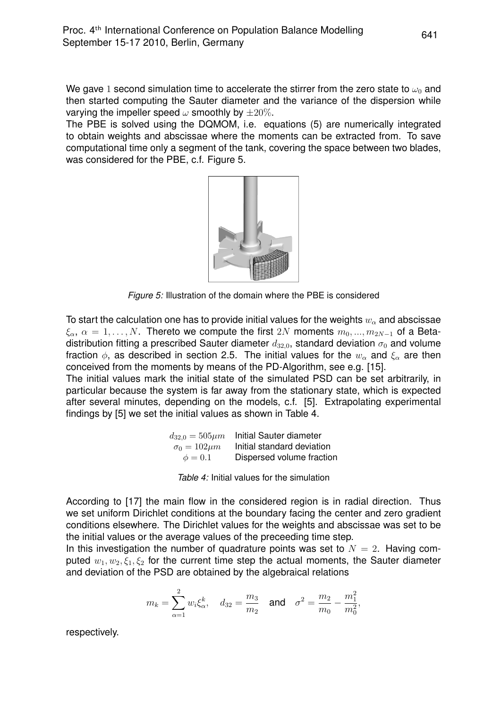We gave 1 second simulation time to accelerate the stirrer from the zero state to  $\omega_0$  and then started computing the Sauter diameter and the variance of the dispersion while varying the impeller speed  $\omega$  smoothly by  $\pm 20\%$ .

The PBE is solved using the DQMOM, i.e. equations (5) are numerically integrated to obtain weights and abscissae where the moments can be extracted from. To save computational time only a segment of the tank, covering the space between two blades, was considered for the PBE, c.f. Figure 5.



*Figure 5:* Illustration of the domain where the PBE is considered

To start the calculation one has to provide initial values for the weights  $w_{\alpha}$  and abscissae  $\xi_{\alpha}$ ,  $\alpha = 1, \ldots, N$ . Thereto we compute the first 2N moments  $m_0, \ldots, m_{2N-1}$  of a Betadistribution fitting a prescribed Sauter diameter  $d_{32,0}$ , standard deviation  $\sigma_0$  and volume fraction  $\phi$ , as described in section 2.5. The initial values for the  $w_\alpha$  and  $\xi_\alpha$  are then conceived from the moments by means of the PD-Algorithm, see e.g. [15].

The initial values mark the initial state of the simulated PSD can be set arbitrarily, in particular because the system is far away from the stationary state, which is expected after several minutes, depending on the models, c.f. [5]. Extrapolating experimental findings by [5] we set the initial values as shown in Table 4.

| $d_{32,0} = 505 \mu m$ | Initial Sauter diameter    |
|------------------------|----------------------------|
| $\sigma_0 = 102 \mu m$ | Initial standard deviation |
| $\phi = 0.1$           | Dispersed volume fraction  |

*Table 4:* Initial values for the simulation

According to [17] the main flow in the considered region is in radial direction. Thus we set uniform Dirichlet conditions at the boundary facing the center and zero gradient conditions elsewhere. The Dirichlet values for the weights and abscissae was set to be the initial values or the average values of the preceeding time step.

In this investigation the number of quadrature points was set to  $N = 2$ . Having computed  $w_1, w_2, \xi_1, \xi_2$  for the current time step the actual moments, the Sauter diameter and deviation of the PSD are obtained by the algebraical relations

$$
m_k = \sum_{\alpha=1}^2 w_i \xi_\alpha^k
$$
,  $d_{32} = \frac{m_3}{m_2}$  and  $\sigma^2 = \frac{m_2}{m_0} - \frac{m_1^2}{m_0^2}$ ,

respectively.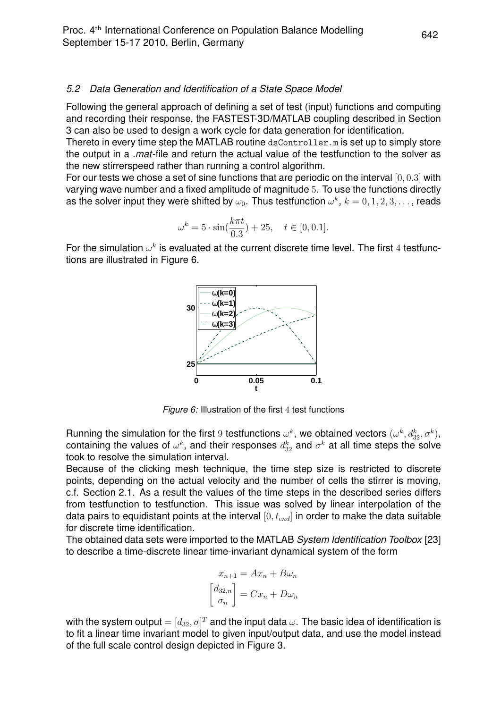#### *5.2 Data Generation and Identification of a State Space Model*

Following the general approach of defining a set of test (input) functions and computing and recording their response, the FASTEST-3D/MATLAB coupling described in Section 3 can also be used to design a work cycle for data generation for identification.

Thereto in every time step the MATLAB routine dsController.m is set up to simply store the output in a *.mat*-file and return the actual value of the testfunction to the solver as the new stirrerspeed rather than running a control algorithm.

For our tests we chose a set of sine functions that are periodic on the interval  $[0, 0.3]$  with varying wave number and a fixed amplitude of magnitude 5. To use the functions directly as the solver input they were shifted by  $\omega_0.$  Thus testfunction  $\omega^k,\,k=0,1,2,3,\ldots$  , reads

$$
\omega^k = 5 \cdot \sin(\frac{k\pi t}{0.3}) + 25, \quad t \in [0, 0.1].
$$

For the simulation  $\omega^k$  is evaluated at the current discrete time level. The first 4 testfunctions are illustrated in Figure 6.



*Figure 6:* Illustration of the first 4 test functions

Running the simulation for the first  $9$  testfunctions  $\omega^k$ , we obtained vectors  $(\omega^k, d^k_{32}, \sigma^k),$ containing the values of  $\omega^k$ , and their responses  $d_{32}^k$  and  $\sigma^k$  at all time steps the solve took to resolve the simulation interval.

Because of the clicking mesh technique, the time step size is restricted to discrete points, depending on the actual velocity and the number of cells the stirrer is moving, c.f. Section 2.1. As a result the values of the time steps in the described series differs from testfunction to testfunction. This issue was solved by linear interpolation of the data pairs to equidistant points at the interval  $[0, t_{end}]$  in order to make the data suitable for discrete time identification.

The obtained data sets were imported to the MATLAB *System Identification Toolbox* [23] to describe a time-discrete linear time-invariant dynamical system of the form

$$
x_{n+1} = Ax_n + B\omega_n
$$

$$
\begin{bmatrix} d_{32,n} \\ \sigma_n \end{bmatrix} = Cx_n + D\omega_n
$$

with the system output  $=[d_{32},\sigma]^T$  and the input data  $\omega.$  The basic idea of identification is to fit a linear time invariant model to given input/output data, and use the model instead of the full scale control design depicted in Figure 3.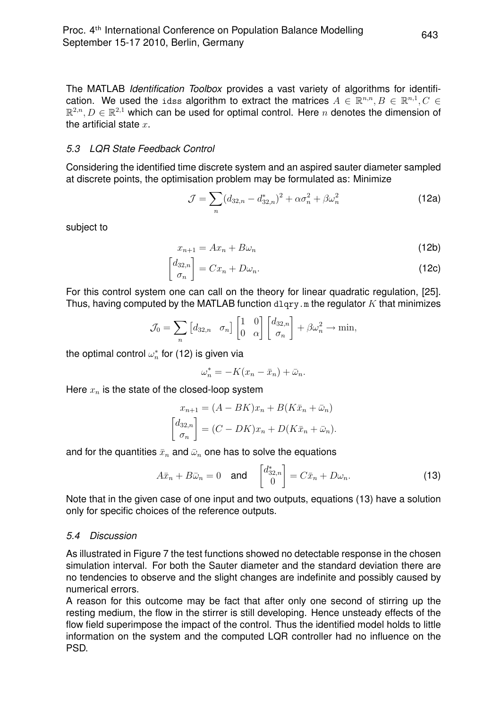The MATLAB *Identification Toolbox* provides a vast variety of algorithms for identification. We used the idss algorithm to extract the matrices  $A \in \mathbb{R}^{n,n}, B \in \mathbb{R}^{n,1}, C \in$  $\mathbb{R}^{2,n}, D \in \mathbb{R}^{2,1}$  which can be used for optimal control. Here n denotes the dimension of the artificial state  $x$ .

### *5.3 LQR State Feedback Control*

Considering the identified time discrete system and an aspired sauter diameter sampled at discrete points, the optimisation problem may be formulated as: Minimize

$$
\mathcal{J} = \sum_{n} (d_{32,n} - d_{32,n}^{*})^2 + \alpha \sigma_n^2 + \beta \omega_n^2
$$
 (12a)

subject to

$$
x_{n+1} = Ax_n + B\omega_n \tag{12b}
$$

$$
\begin{bmatrix} d_{32,n} \\ \sigma_n \end{bmatrix} = Cx_n + D\omega_n.
$$
 (12c)

For this control system one can call on the theory for linear quadratic regulation, [25]. Thus, having computed by the MATLAB function  $\text{d} \text{log} \cdot x$  as the regulator K that minimizes

$$
\mathcal{J}_0 = \sum_n \begin{bmatrix} d_{32,n} & \sigma_n \end{bmatrix} \begin{bmatrix} 1 & 0 \\ 0 & \alpha \end{bmatrix} \begin{bmatrix} d_{32,n} \\ \sigma_n \end{bmatrix} + \beta \omega_n^2 \to \min,
$$

the optimal control  $\omega_n^*$  for (12) is given via

$$
\omega_n^* = -K(x_n - \bar{x}_n) + \bar{\omega}_n.
$$

Here  $x_n$  is the state of the closed-loop system

$$
x_{n+1} = (A - BK)x_n + B(K\bar{x}_n + \bar{\omega}_n)
$$

$$
\begin{bmatrix} d_{32,n} \\ \sigma_n \end{bmatrix} = (C - DK)x_n + D(K\bar{x}_n + \bar{\omega}_n).
$$

and for the quantities  $\bar{x}_n$  and  $\bar{\omega}_n$  one has to solve the equations

$$
A\bar{x}_n + B\bar{\omega}_n = 0 \quad \text{and} \quad \begin{bmatrix} d_{32,n}^* \\ 0 \end{bmatrix} = C\bar{x}_n + D\omega_n.
$$
 (13)

Note that in the given case of one input and two outputs, equations (13) have a solution only for specific choices of the reference outputs.

## *5.4 Discussion*

As illustrated in Figure 7 the test functions showed no detectable response in the chosen simulation interval. For both the Sauter diameter and the standard deviation there are no tendencies to observe and the slight changes are indefinite and possibly caused by numerical errors.

A reason for this outcome may be fact that after only one second of stirring up the resting medium, the flow in the stirrer is still developing. Hence unsteady effects of the flow field superimpose the impact of the control. Thus the identified model holds to little information on the system and the computed LQR controller had no influence on the PSD.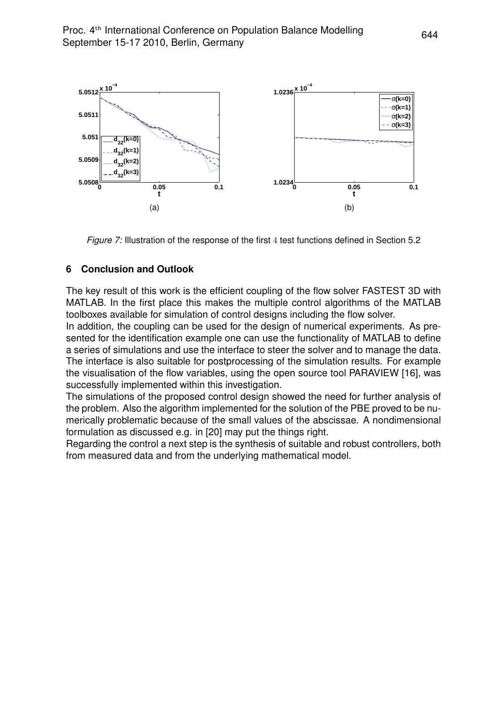

*Figure 7:* Illustration of the response of the first 4 test functions defined in Section 5.2

## **6 Conclusion and Outlook**

The key result of this work is the efficient coupling of the flow solver FASTEST 3D with MATLAB. In the first place this makes the multiple control algorithms of the MATLAB toolboxes available for simulation of control designs including the flow solver.

In addition, the coupling can be used for the design of numerical experiments. As presented for the identification example one can use the functionality of MATLAB to define a series of simulations and use the interface to steer the solver and to manage the data. The interface is also suitable for postprocessing of the simulation results. For example the visualisation of the flow variables, using the open source tool PARAVIEW [16], was successfully implemented within this investigation.

The simulations of the proposed control design showed the need for further analysis of the problem. Also the algorithm implemented for the solution of the PBE proved to be numerically problematic because of the small values of the abscissae. A nondimensional formulation as discussed e.g. in [20] may put the things right.

Regarding the control a next step is the synthesis of suitable and robust controllers, both from measured data and from the underlying mathematical model.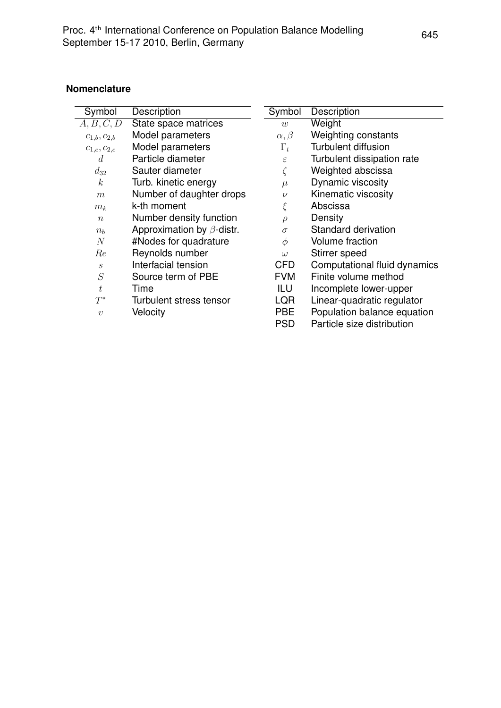### **Nomenclature**

| Symbol                      | Description                      | Symbol          | Description                  |
|-----------------------------|----------------------------------|-----------------|------------------------------|
| A, B, C, D                  | State space matrices             | $\overline{w}$  | Weight                       |
| $c_{1,b}, c_{2,b}$          | Model parameters                 | $\alpha, \beta$ | Weighting constants          |
| $c_{1,c}, c_{2,c}$          | Model parameters                 | $\Gamma_t$      | <b>Turbulent diffusion</b>   |
| $\overline{d}$              | Particle diameter                | $\varepsilon$   | Turbulent dissipation rate   |
| $d_{32}$                    | Sauter diameter                  |                 | Weighted abscissa            |
| k                           | Turb. kinetic energy             | $\mu$           | Dynamic viscosity            |
| $\boldsymbol{m}$            | Number of daughter drops         | $\nu$           | Kinematic viscosity          |
| $m_k$                       | k-th moment                      | ξ               | Abscissa                     |
| $\boldsymbol{n}$            | Number density function          | $\rho$          | Density                      |
| $n_{h}$                     | Approximation by $\beta$ -distr. | $\sigma$        | Standard derivation          |
| N                           | #Nodes for quadrature            | $\phi$          | <b>Volume fraction</b>       |
| Re                          | Reynolds number                  | $\omega$        | Stirrer speed                |
| $\mathcal{S}_{\mathcal{S}}$ | Interfacial tension              | <b>CFD</b>      | Computational fluid dynamics |
| $\cal S$                    | Source term of PBE               | <b>FVM</b>      | Finite volume method         |
| t                           | Time                             | ILU             | Incomplete lower-upper       |
| $T^*$                       | Turbulent stress tensor          | LQR             | Linear-quadratic regulator   |
| $\boldsymbol{v}$            | Velocity                         | <b>PBE</b>      | Population balance equation  |
|                             |                                  | <b>PSD</b>      | Particle size distribution   |